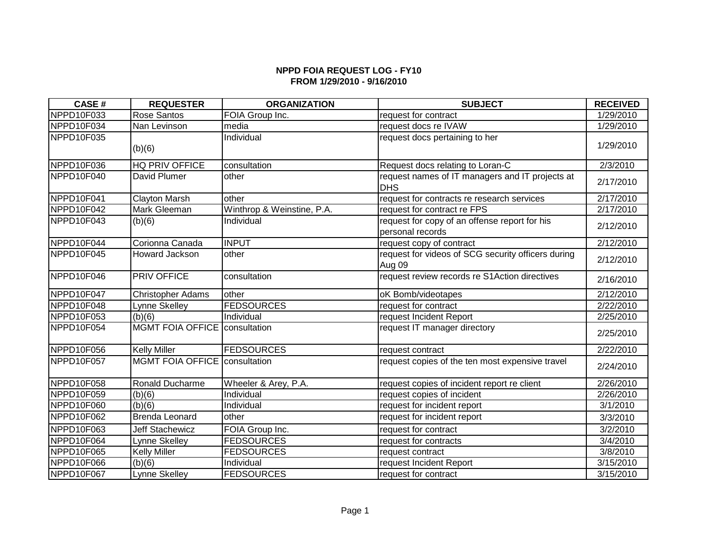## **NPPD FOIA REQUEST LOG - FY10 FROM 1/29/2010 - 9/16/2010**

| <b>CASE#</b> | <b>REQUESTER</b>              | <b>ORGANIZATION</b>        | <b>SUBJECT</b>                                                    | <b>RECEIVED</b> |
|--------------|-------------------------------|----------------------------|-------------------------------------------------------------------|-----------------|
| NPPD10F033   | Rose Santos                   | FOIA Group Inc.            | request for contract                                              | 1/29/2010       |
| NPPD10F034   | Nan Levinson                  | media                      | request docs re IVAW                                              | 1/29/2010       |
| NPPD10F035   | (b)(6)                        | Individual                 | request docs pertaining to her                                    | 1/29/2010       |
| NPPD10F036   | <b>HQ PRIV OFFICE</b>         | consultation               | Request docs relating to Loran-C                                  | 2/3/2010        |
| NPPD10F040   | David Plumer                  | other                      | request names of IT managers and IT projects at<br><b>DHS</b>     | 2/17/2010       |
| NPPD10F041   | <b>Clayton Marsh</b>          | other                      | request for contracts re research services                        | 2/17/2010       |
| NPPD10F042   | Mark Gleeman                  | Winthrop & Weinstine, P.A. | request for contract re FPS                                       | 2/17/2010       |
| NPPD10F043   | (b)(6)                        | Individual                 | request for copy of an offense report for his<br>personal records | 2/12/2010       |
| NPPD10F044   | Corionna Canada               | <b>INPUT</b>               | request copy of contract                                          | 2/12/2010       |
| NPPD10F045   | <b>Howard Jackson</b>         | other                      | request for videos of SCG security officers during<br>Aug 09      | 2/12/2010       |
| NPPD10F046   | PRIV OFFICE                   | consultation               | request review records re S1Action directives                     | 2/16/2010       |
| NPPD10F047   | <b>Christopher Adams</b>      | other                      | oK Bomb/videotapes                                                | 2/12/2010       |
| NPPD10F048   | Lynne Skelley                 | <b>FEDSOURCES</b>          | request for contract                                              | 2/22/2010       |
| NPPD10F053   | (b)(6)                        | Individual                 | request Incident Report                                           | 2/25/2010       |
| NPPD10F054   | MGMT FOIA OFFICE consultation |                            | request IT manager directory                                      | 2/25/2010       |
| NPPD10F056   | <b>Kelly Miller</b>           | <b>FEDSOURCES</b>          | request contract                                                  | 2/22/2010       |
| NPPD10F057   | MGMT FOIA OFFICE consultation |                            | request copies of the ten most expensive travel                   | 2/24/2010       |
| NPPD10F058   | Ronald Ducharme               | Wheeler & Arey, P.A.       | request copies of incident report re client                       | 2/26/2010       |
| NPPD10F059   | (b)(6)                        | Individual                 | request copies of incident                                        | 2/26/2010       |
| NPPD10F060   | (b)(6)                        | Individual                 | request for incident report                                       | 3/1/2010        |
| NPPD10F062   | <b>Brenda Leonard</b>         | other                      | request for incident report                                       | 3/3/2010        |
| NPPD10F063   | <b>Jeff Stachewicz</b>        | FOIA Group Inc.            | request for contract                                              | 3/2/2010        |
| NPPD10F064   | _ynne Skelley                 | <b>FEDSOURCES</b>          | request for contracts                                             | 3/4/2010        |
| NPPD10F065   | <b>Kelly Miller</b>           | <b>FEDSOURCES</b>          | request contract                                                  | 3/8/2010        |
| NPPD10F066   | (b)(6)                        | Individual                 | request Incident Report                                           | 3/15/2010       |
| NPPD10F067   | <b>Lynne Skelley</b>          | <b>FEDSOURCES</b>          | request for contract                                              | 3/15/2010       |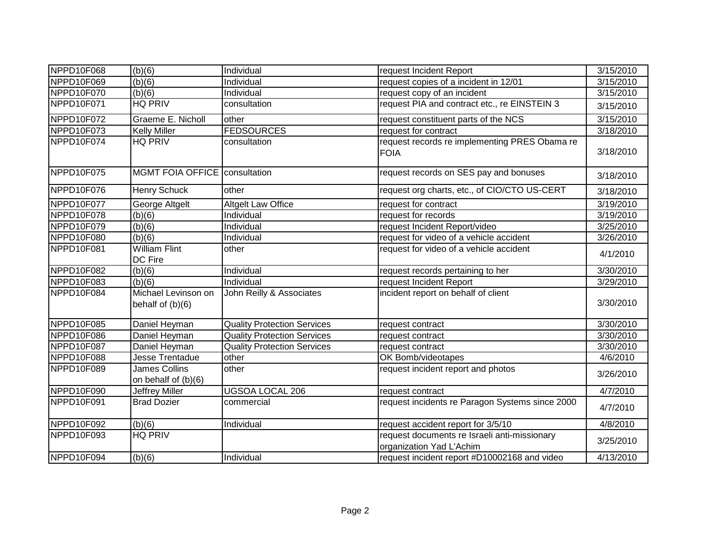| NPPD10F068 | (b)(6)                                  | Individual                         | request Incident Report                                                  | 3/15/2010         |
|------------|-----------------------------------------|------------------------------------|--------------------------------------------------------------------------|-------------------|
| NPPD10F069 | (b)(6)                                  | Individual                         | request copies of a incident in 12/01                                    | 3/15/2010         |
| NPPD10F070 | (b)(6)                                  | Individual                         | request copy of an incident                                              | 3/15/2010         |
| NPPD10F071 | <b>HQ PRIV</b>                          | consultation                       | request PIA and contract etc., re EINSTEIN 3                             | 3/15/2010         |
| NPPD10F072 | Graeme E. Nicholl                       | other                              | request constituent parts of the NCS                                     | 3/15/2010         |
| NPPD10F073 | <b>Kelly Miller</b>                     | <b>FEDSOURCES</b>                  | request for contract                                                     | 3/18/2010         |
| NPPD10F074 | <b>HQ PRIV</b>                          | consultation                       | request records re implementing PRES Obama re<br><b>FOIA</b>             | 3/18/2010         |
| NPPD10F075 | MGMT FOIA OFFICE   consultation         |                                    | request records on SES pay and bonuses                                   | 3/18/2010         |
| NPPD10F076 | <b>Henry Schuck</b>                     | other                              | request org charts, etc., of CIO/CTO US-CERT                             | 3/18/2010         |
| NPPD10F077 | George Altgelt                          | <b>Altgelt Law Office</b>          | request for contract                                                     | 3/19/2010         |
| NPPD10F078 | (b)(6)                                  | Individual                         | request for records                                                      | 3/19/2010         |
| NPPD10F079 | (b)(6)                                  | Individual                         | request Incident Report/video                                            | 3/25/2010         |
| NPPD10F080 | (b)(6)                                  | Individual                         | request for video of a vehicle accident                                  | 3/26/2010         |
| NPPD10F081 | <b>William Flint</b><br>DC Fire         | other                              | request for video of a vehicle accident                                  | 4/1/2010          |
| NPPD10F082 | (b)(6)                                  | Individual                         | request records pertaining to her                                        | 3/30/2010         |
| NPPD10F083 | (b)(6)                                  | Individual                         | request Incident Report                                                  | 3/29/2010         |
| NPPD10F084 | Michael Levinson on<br>behalf of (b)(6) | John Reilly & Associates           | incident report on behalf of client                                      | 3/30/2010         |
| NPPD10F085 | Daniel Heyman                           | <b>Quality Protection Services</b> | request contract                                                         | 3/30/2010         |
| NPPD10F086 | Daniel Heyman                           | <b>Quality Protection Services</b> | request contract                                                         | 3/30/2010         |
| NPPD10F087 | Daniel Heyman                           | <b>Quality Protection Services</b> | request contract                                                         | 3/30/2010         |
| NPPD10F088 | Jesse Trentadue                         | other                              | OK Bomb/videotapes                                                       | 4/6/2010          |
| NPPD10F089 | James Collins<br>on behalf of (b)(6)    | other                              | request incident report and photos                                       | 3/26/2010         |
| NPPD10F090 | Jeffrey Miller                          | UGSOA LOCAL 206                    | request contract                                                         | $\sqrt{4}/7/2010$ |
| NPPD10F091 | <b>Brad Dozier</b>                      | commercial                         | request incidents re Paragon Systems since 2000                          | 4/7/2010          |
| NPPD10F092 | (b)(6)                                  | Individual                         | request accident report for 3/5/10                                       | 4/8/2010          |
| NPPD10F093 | <b>HQ PRIV</b>                          |                                    | request documents re Israeli anti-missionary<br>organization Yad L'Achim | 3/25/2010         |
| NPPD10F094 | (b)(6)                                  | Individual                         | request incident report #D10002168 and video                             | 4/13/2010         |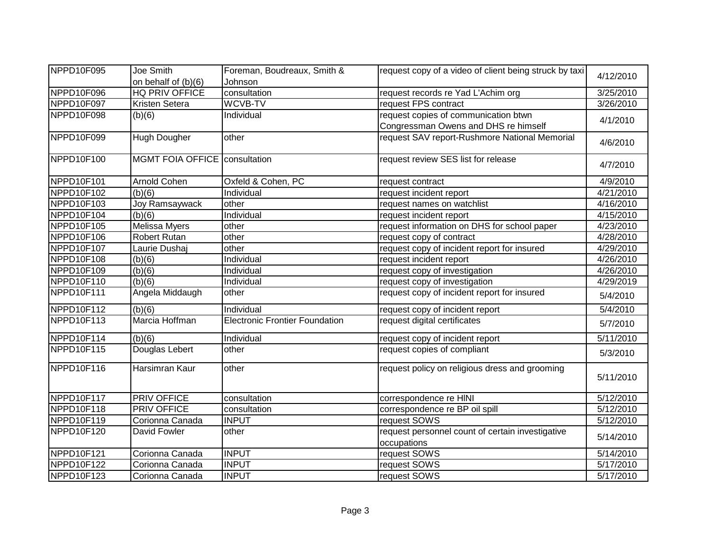| NPPD10F095 | Joe Smith                       | Foreman, Boudreaux, Smith &           | request copy of a video of client being struck by taxi          | 4/12/2010              |
|------------|---------------------------------|---------------------------------------|-----------------------------------------------------------------|------------------------|
|            | on behalf of (b)(6)             | Johnson                               |                                                                 |                        |
| NPPD10F096 | HQ PRIV OFFICE                  | consultation                          | request records re Yad L'Achim org                              | 3/25/2010              |
| NPPD10F097 | Kristen Setera                  | <b>WCVB-TV</b>                        | request FPS contract                                            | $\overline{3/26/2010}$ |
| NPPD10F098 | (b)(6)                          | Individual                            | request copies of communication btwn                            | 4/1/2010               |
|            |                                 |                                       | Congressman Owens and DHS re himself                            |                        |
| NPPD10F099 | Hugh Dougher                    | other                                 | request SAV report-Rushmore National Memorial                   | 4/6/2010               |
| NPPD10F100 | MGMT FOIA OFFICE   consultation |                                       | request review SES list for release                             | 4/7/2010               |
| NPPD10F101 | Arnold Cohen                    | Oxfeld & Cohen, PC                    | request contract                                                | 4/9/2010               |
| NPPD10F102 | (b)(6)                          | Individual                            | request incident report                                         | 4/21/2010              |
| NPPD10F103 | Joy Ramsaywack                  | other                                 | request names on watchlist                                      | 4/16/2010              |
| NPPD10F104 | (b)(6)                          | Individual                            | request incident report                                         | 4/15/2010              |
| NPPD10F105 | Melissa Myers                   | other                                 | request information on DHS for school paper                     | 4/23/2010              |
| NPPD10F106 | <b>Robert Rutan</b>             | other                                 | request copy of contract                                        | 4/28/2010              |
| NPPD10F107 | Laurie Dushaj                   | other                                 | request copy of incident report for insured                     | 4/29/2010              |
| NPPD10F108 | (b)(6)                          | Individual                            | request incident report                                         | 4/26/2010              |
| NPPD10F109 | (b)(6)                          | Individual                            | request copy of investigation                                   | 4/26/2010              |
| NPPD10F110 | (b)(6)                          | Individual                            | request copy of investigation                                   | 4/29/2019              |
| NPPD10F111 | Angela Middaugh                 | other                                 | request copy of incident report for insured                     | 5/4/2010               |
| NPPD10F112 | (b)(6)                          | Individual                            | request copy of incident report                                 | 5/4/2010               |
| NPPD10F113 | Marcia Hoffman                  | <b>Electronic Frontier Foundation</b> | request digital certificates                                    | 5/7/2010               |
| NPPD10F114 | (b)(6)                          | Individual                            | request copy of incident report                                 | 5/11/2010              |
| NPPD10F115 | Douglas Lebert                  | other                                 | request copies of compliant                                     | 5/3/2010               |
| NPPD10F116 | Harsimran Kaur                  | other                                 | request policy on religious dress and grooming                  | 5/11/2010              |
| NPPD10F117 | PRIV OFFICE                     | consultation                          | correspondence re HINI                                          | 5/12/2010              |
| NPPD10F118 | <b>PRIV OFFICE</b>              | consultation                          | correspondence re BP oil spill                                  | 5/12/2010              |
| NPPD10F119 | Corionna Canada                 | <b>INPUT</b>                          | request SOWS                                                    | 5/12/2010              |
| NPPD10F120 | David Fowler                    | other                                 | request personnel count of certain investigative<br>occupations | 5/14/2010              |
| NPPD10F121 | Corionna Canada                 | <b>INPUT</b>                          | request SOWS                                                    | 5/14/2010              |
| NPPD10F122 | Corionna Canada                 | <b>INPUT</b>                          | request SOWS                                                    | 5/17/2010              |
| NPPD10F123 | Corionna Canada                 | <b>INPUT</b>                          | request SOWS                                                    | 5/17/2010              |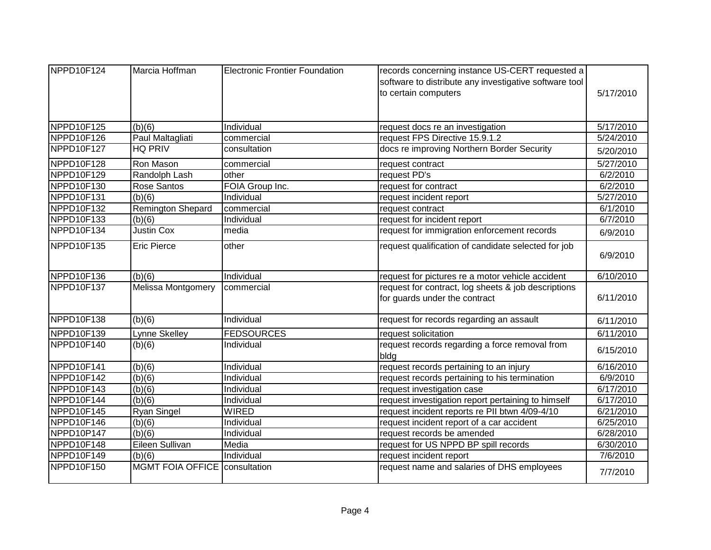| NPPD10F124 | Marcia Hoffman                | <b>Electronic Frontier Foundation</b> | records concerning instance US-CERT requested a        |           |
|------------|-------------------------------|---------------------------------------|--------------------------------------------------------|-----------|
|            |                               |                                       | software to distribute any investigative software tool |           |
|            |                               |                                       | to certain computers                                   | 5/17/2010 |
|            |                               |                                       |                                                        |           |
| NPPD10F125 | (b)(6)                        | Individual                            | request docs re an investigation                       | 5/17/2010 |
| NPPD10F126 | Paul Maltagliati              | commercial                            | request FPS Directive 15.9.1.2                         | 5/24/2010 |
| NPPD10F127 | <b>HQ PRIV</b>                | consultation                          | docs re improving Northern Border Security             | 5/20/2010 |
| NPPD10F128 | Ron Mason                     | commercial                            | request contract                                       | 5/27/2010 |
| NPPD10F129 | Randolph Lash                 | other                                 | request PD's                                           | 6/2/2010  |
| NPPD10F130 | Rose Santos                   | FOIA Group Inc.                       | request for contract                                   | 6/2/2010  |
| NPPD10F131 | (b)(6)                        | Individual                            | request incident report                                | 5/27/2010 |
| NPPD10F132 | <b>Remington Shepard</b>      | commercial                            | request contract                                       | 6/1/2010  |
| NPPD10F133 | (b)(6)                        | Individual                            | request for incident report                            | 6/7/2010  |
| NPPD10F134 | <b>Justin Cox</b>             | media                                 | request for immigration enforcement records            | 6/9/2010  |
| NPPD10F135 | <b>Eric Pierce</b>            | other                                 | request qualification of candidate selected for job    |           |
|            |                               |                                       |                                                        | 6/9/2010  |
| NPPD10F136 | (b)(6)                        | Individual                            | request for pictures re a motor vehicle accident       | 6/10/2010 |
| NPPD10F137 | <b>Melissa Montgomery</b>     | commercial                            | request for contract, log sheets & job descriptions    |           |
|            |                               |                                       | for guards under the contract                          | 6/11/2010 |
| NPPD10F138 | (b)(6)                        | Individual                            | request for records regarding an assault               | 6/11/2010 |
| NPPD10F139 | Lynne Skelley                 | <b>FEDSOURCES</b>                     | request solicitation                                   | 6/11/2010 |
| NPPD10F140 | (b)(6)                        | Individual                            | request records regarding a force removal from<br>bldg | 6/15/2010 |
| NPPD10F141 | (b)(6)                        | Individual                            | request records pertaining to an injury                | 6/16/2010 |
| NPPD10F142 | (b)(6)                        | Individual                            | request records pertaining to his termination          | 6/9/2010  |
| NPPD10F143 | $\overline{(b)}(6)$           | Individual                            | request investigation case                             | 6/17/2010 |
| NPPD10F144 | (b)(6)                        | Individual                            | request investigation report pertaining to himself     | 6/17/2010 |
| NPPD10F145 | Ryan Singel                   | <b>WIRED</b>                          | request incident reports re PII btwn 4/09-4/10         | 6/21/2010 |
| NPPD10F146 | (b)(6)                        | Individual                            | request incident report of a car accident              | 6/25/2010 |
| NPPD10P147 | (b)(6)                        | Individual                            | request records be amended                             | 6/28/2010 |
| NPPD10F148 | Eileen Sullivan               | Media                                 | request for US NPPD BP spill records                   | 6/30/2010 |
| NPPD10F149 | (b)(6)                        | Individual                            | request incident report                                | 7/6/2010  |
| NPPD10F150 | MGMT FOIA OFFICE consultation |                                       | request name and salaries of DHS employees             | 7/7/2010  |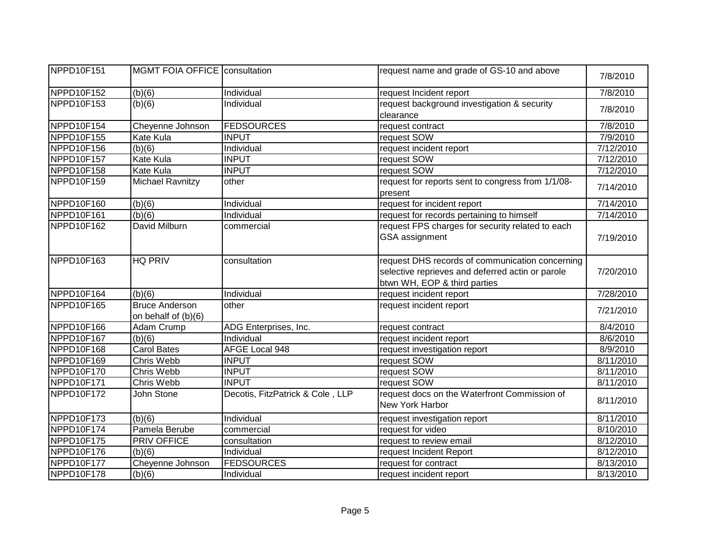| NPPD10F151 | <b>MGMT FOIA OFFICE consultation</b>         |                                  | request name and grade of GS-10 and above                                                                                           | 7/8/2010  |
|------------|----------------------------------------------|----------------------------------|-------------------------------------------------------------------------------------------------------------------------------------|-----------|
| NPPD10F152 | (b)(6)                                       | Individual                       | request Incident report                                                                                                             | 7/8/2010  |
| NPPD10F153 | (b)(6)                                       | Individual                       | request background investigation & security<br>clearance                                                                            | 7/8/2010  |
| NPPD10F154 | Cheyenne Johnson                             | <b>FEDSOURCES</b>                | request contract                                                                                                                    | 7/8/2010  |
| NPPD10F155 | Kate Kula                                    | <b>INPUT</b>                     | request SOW                                                                                                                         | 7/9/2010  |
| NPPD10F156 | (b)(6)                                       | Individual                       | request incident report                                                                                                             | 7/12/2010 |
| NPPD10F157 | Kate Kula                                    | <b>INPUT</b>                     | request SOW                                                                                                                         | 7/12/2010 |
| NPPD10F158 | Kate Kula                                    | <b>INPUT</b>                     | request SOW                                                                                                                         | 7/12/2010 |
| NPPD10F159 | <b>Michael Ravnitzy</b>                      | other                            | request for reports sent to congress from 1/1/08-<br>present                                                                        | 7/14/2010 |
| NPPD10F160 | (b)(6)                                       | Individual                       | request for incident report                                                                                                         | 7/14/2010 |
| NPPD10F161 | (b)(6)                                       | Individual                       | request for records pertaining to himself                                                                                           | 7/14/2010 |
| NPPD10F162 | David Milburn                                | commercial                       | request FPS charges for security related to each<br>GSA assignment                                                                  | 7/19/2010 |
| NPPD10F163 | <b>HQ PRIV</b>                               | consultation                     | request DHS records of communication concerning<br>selective reprieves and deferred actin or parole<br>btwn WH, EOP & third parties | 7/20/2010 |
| NPPD10F164 | (b)(6)                                       | Individual                       | request incident report                                                                                                             | 7/28/2010 |
| NPPD10F165 | <b>Bruce Anderson</b><br>on behalf of (b)(6) | other                            | request incident report                                                                                                             | 7/21/2010 |
| NPPD10F166 | Adam Crump                                   | ADG Enterprises, Inc.            | request contract                                                                                                                    | 8/4/2010  |
| NPPD10F167 | (b)(6)                                       | Individual                       | request incident report                                                                                                             | 8/6/2010  |
| NPPD10F168 | <b>Carol Bates</b>                           | AFGE Local 948                   | request investigation report                                                                                                        | 8/9/2010  |
| NPPD10F169 | <b>Chris Webb</b>                            | <b>INPUT</b>                     | request SOW                                                                                                                         | 8/11/2010 |
| NPPD10F170 | Chris Webb                                   | <b>INPUT</b>                     | request SOW                                                                                                                         | 8/11/2010 |
| NPPD10F171 | Chris Webb                                   | <b>INPUT</b>                     | request SOW                                                                                                                         | 8/11/2010 |
| NPPD10F172 | John Stone                                   | Decotis, FitzPatrick & Cole, LLP | request docs on the Waterfront Commission of<br>New York Harbor                                                                     | 8/11/2010 |
| NPPD10F173 | (b)(6)                                       | Individual                       | request investigation report                                                                                                        | 8/11/2010 |
| NPPD10F174 | Pamela Berube                                | commercial                       | request for video                                                                                                                   | 8/10/2010 |
| NPPD10F175 | <b>PRIV OFFICE</b>                           | consultation                     | request to review email                                                                                                             | 8/12/2010 |
| NPPD10F176 | (b)(6)                                       | Individual                       | request Incident Report                                                                                                             | 8/12/2010 |
| NPPD10F177 | Cheyenne Johnson                             | <b>FEDSOURCES</b>                | request for contract                                                                                                                | 8/13/2010 |
| NPPD10F178 | (b)(6)                                       | Individual                       | request incident report                                                                                                             | 8/13/2010 |